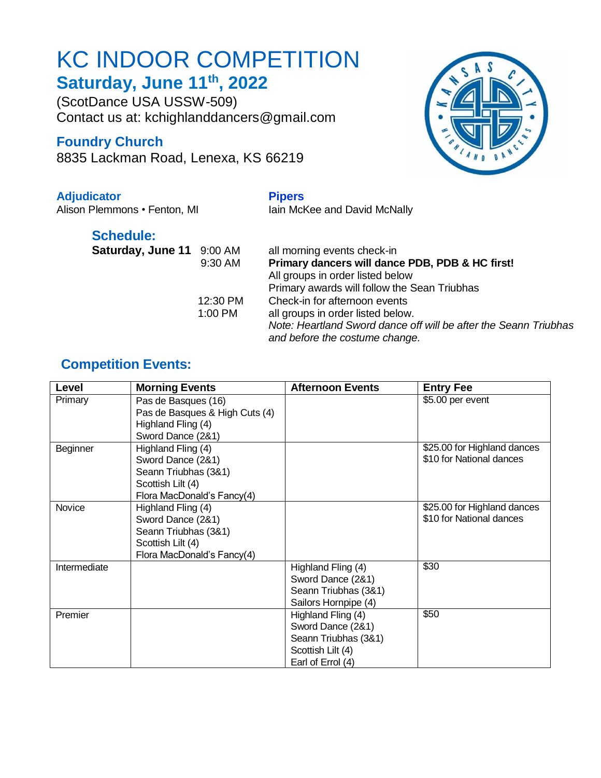# KC INDOOR COMPETITION **Saturday, June 11 th, 2022**

(ScotDance USA USSW-509) Contact us at: kchighlanddancers@gmail.com

## **Foundry Church**

8835 Lackman Road, Lenexa, KS 66219

### **Adjudicator Pipers**

Alison Plemmons • Fenton, MI Iain McKee and David McNally

## **Schedule:**

| Saturday, June 11 9:00 AM | $9:30$ A           |
|---------------------------|--------------------|
|                           | 12:30 P<br>1:00 PM |

#### M all morning events check-in 9:30 AM **Primary dancers will dance PDB, PDB & HC first!** All groups in order listed below Primary awards will follow the Sean Triubhas <sup>2</sup>M Check-in for afternoon events 1 all groups in order listed below. *Note: Heartland Sword dance off will be after the Seann Triubhas and before the costume change.*

## **Competition Events:**

| Level        | <b>Morning Events</b>          | <b>Afternoon Events</b> | <b>Entry Fee</b>            |
|--------------|--------------------------------|-------------------------|-----------------------------|
| Primary      | Pas de Basques (16)            |                         | \$5.00 per event            |
|              | Pas de Basques & High Cuts (4) |                         |                             |
|              | Highland Fling (4)             |                         |                             |
|              | Sword Dance (2&1)              |                         |                             |
| Beginner     | Highland Fling (4)             |                         | \$25.00 for Highland dances |
|              | Sword Dance (2&1)              |                         | \$10 for National dances    |
|              | Seann Triubhas (3&1)           |                         |                             |
|              | Scottish Lilt (4)              |                         |                             |
|              | Flora MacDonald's Fancy(4)     |                         |                             |
| Novice       | Highland Fling (4)             |                         | \$25.00 for Highland dances |
|              | Sword Dance (2&1)              |                         | \$10 for National dances    |
|              | Seann Triubhas (3&1)           |                         |                             |
|              | Scottish Lilt (4)              |                         |                             |
|              | Flora MacDonald's Fancy(4)     |                         |                             |
| Intermediate |                                | Highland Fling (4)      | \$30                        |
|              |                                | Sword Dance (2&1)       |                             |
|              |                                | Seann Triubhas (3&1)    |                             |
|              |                                | Sailors Hornpipe (4)    |                             |
| Premier      |                                | Highland Fling (4)      | \$50                        |
|              |                                | Sword Dance (2&1)       |                             |
|              |                                | Seann Triubhas (3&1)    |                             |
|              |                                | Scottish Lilt (4)       |                             |
|              |                                | Earl of Errol (4)       |                             |

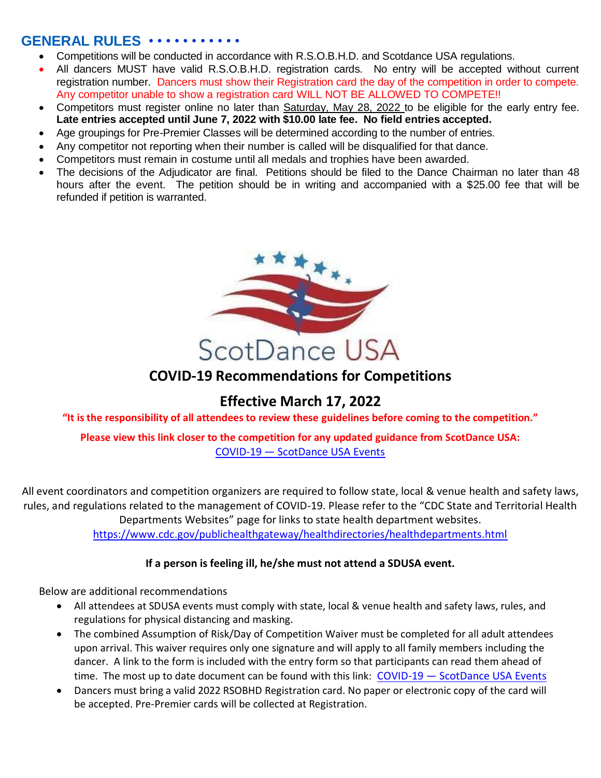## **GENERAL RULES** • • • • • • • • • • •

- Competitions will be conducted in accordance with R.S.O.B.H.D. and Scotdance USA regulations.
- All dancers MUST have valid R.S.O.B.H.D. registration cards. No entry will be accepted without current registration number. Dancers must show their Registration card the day of the competition in order to compete. Any competitor unable to show a registration card WILL NOT BE ALLOWED TO COMPETE!!
- Competitors must register online no later than Saturday, May 28, 2022 to be eligible for the early entry fee. **Late entries accepted until June 7, 2022 with \$10.00 late fee. No field entries accepted.**
- Age groupings for Pre-Premier Classes will be determined according to the number of entries.
- Any competitor not reporting when their number is called will be disqualified for that dance.
- Competitors must remain in costume until all medals and trophies have been awarded.
- The decisions of the Adjudicator are final. Petitions should be filed to the Dance Chairman no later than 48 hours after the event. The petition should be in writing and accompanied with a \$25.00 fee that will be refunded if petition is warranted.



## **COVID-19 Recommendations for Competitions**

## **Effective March 17, 2022**

**"It is the responsibility of all attendees to review these guidelines before coming to the competition."**

**Please view this link closer to the competition for any updated guidance from ScotDance USA:** COVID-19 — [ScotDance USA Events](https://www.scotdanceusaevents.com/covid19)

All event coordinators and competition organizers are required to follow state, local & venue health and safety laws, rules, and regulations related to the management of COVID-19. Please refer to the "CDC State and Territorial Health Departments Websites" page for links to state health department websites. <https://www.cdc.gov/publichealthgateway/healthdirectories/healthdepartments.html>

### **If a person is feeling ill, he/she must not attend a SDUSA event.**

Below are additional recommendations

- All attendees at SDUSA events must comply with state, local & venue health and safety laws, rules, and regulations for physical distancing and masking.
- The combined Assumption of Risk/Day of Competition Waiver must be completed for all adult attendees upon arrival. This waiver requires only one signature and will apply to all family members including the dancer. A link to the form is included with the entry form so that participants can read them ahead of time. The most up to date document can be found with this link: COVID-19 - [ScotDance USA Events](https://www.scotdanceusaevents.com/covid19)
- Dancers must bring a valid 2022 RSOBHD Registration card. No paper or electronic copy of the card will be accepted. Pre-Premier cards will be collected at Registration.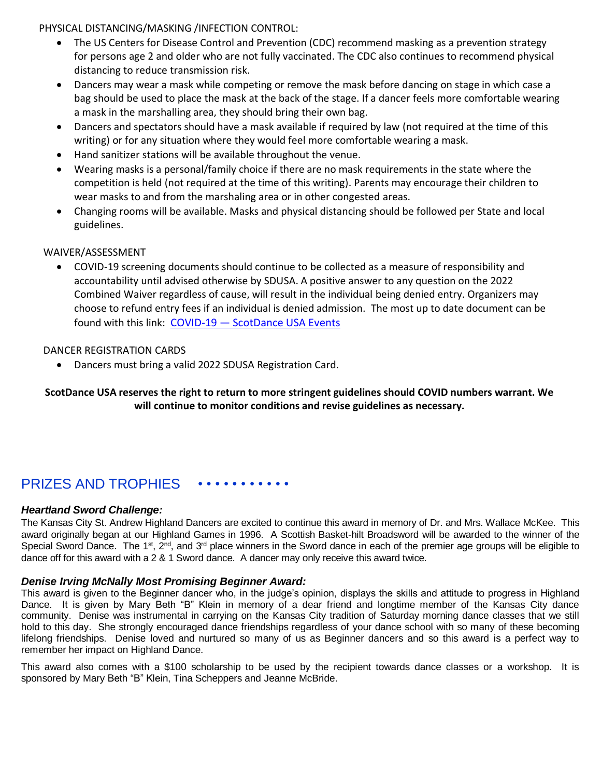PHYSICAL DISTANCING/MASKING /INFECTION CONTROL:

- The US Centers for Disease Control and Prevention (CDC) recommend masking as a prevention strategy for persons age 2 and older who are not fully vaccinated. The CDC also continues to recommend physical distancing to reduce transmission risk.
- Dancers may wear a mask while competing or remove the mask before dancing on stage in which case a bag should be used to place the mask at the back of the stage. If a dancer feels more comfortable wearing a mask in the marshalling area, they should bring their own bag.
- Dancers and spectators should have a mask available if required by law (not required at the time of this writing) or for any situation where they would feel more comfortable wearing a mask.
- Hand sanitizer stations will be available throughout the venue.
- Wearing masks is a personal/family choice if there are no mask requirements in the state where the competition is held (not required at the time of this writing). Parents may encourage their children to wear masks to and from the marshaling area or in other congested areas.
- Changing rooms will be available. Masks and physical distancing should be followed per State and local guidelines.

#### WAIVER/ASSESSMENT

 COVID-19 screening documents should continue to be collected as a measure of responsibility and accountability until advised otherwise by SDUSA. A positive answer to any question on the 2022 Combined Waiver regardless of cause, will result in the individual being denied entry. Organizers may choose to refund entry fees if an individual is denied admission. The most up to date document can be found with this link: COVID-19 — [ScotDance USA Events](https://www.scotdanceusaevents.com/covid19)

#### DANCER REGISTRATION CARDS

Dancers must bring a valid 2022 SDUSA Registration Card.

#### **ScotDance USA reserves the right to return to more stringent guidelines should COVID numbers warrant. We will continue to monitor conditions and revise guidelines as necessary.**

## PRIZES AND TROPHIES ••••••••••••

#### *Heartland Sword Challenge:*

The Kansas City St. Andrew Highland Dancers are excited to continue this award in memory of Dr. and Mrs. Wallace McKee. This award originally began at our Highland Games in 1996. A Scottish Basket-hilt Broadsword will be awarded to the winner of the Special Sword Dance. The 1<sup>st</sup>, 2<sup>nd</sup>, and 3<sup>rd</sup> place winners in the Sword dance in each of the premier age groups will be eligible to dance off for this award with a 2 & 1 Sword dance. A dancer may only receive this award twice.

#### *Denise Irving McNally Most Promising Beginner Award:*

This award is given to the Beginner dancer who, in the judge's opinion, displays the skills and attitude to progress in Highland Dance. It is given by Mary Beth "B" Klein in memory of a dear friend and longtime member of the Kansas City dance community. Denise was instrumental in carrying on the Kansas City tradition of Saturday morning dance classes that we still hold to this day. She strongly encouraged dance friendships regardless of your dance school with so many of these becoming lifelong friendships. Denise loved and nurtured so many of us as Beginner dancers and so this award is a perfect way to remember her impact on Highland Dance.

This award also comes with a \$100 scholarship to be used by the recipient towards dance classes or a workshop. It is sponsored by Mary Beth "B" Klein, Tina Scheppers and Jeanne McBride.